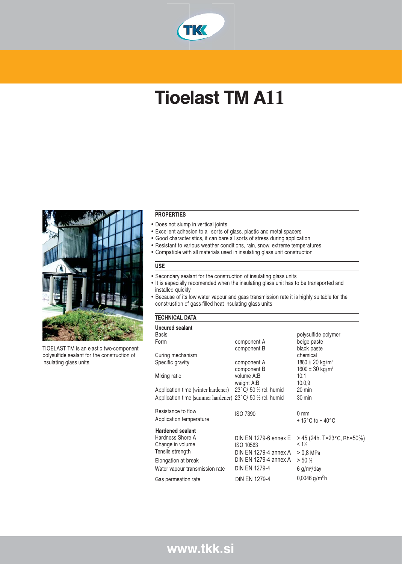

# Tioelast TM A**11**



TIOELAST TM is an elastic two-component polysulfide sealant for the construction of insulating glass units.

#### PROPERTIES

- Does not slump in vertical joints
- Excellent adhesion to all sorts of glass, plastic and metal spacers
- Good characteristics, it can bare all sorts of stress during application
- Resistant to various weather conditions, rain, snow, extreme temperatures
- Compatible with all materials used in insulating glass unit construction

## USE

- Secondary sealant for the construction of insulating glass units
- It is especially recomended when the insulating glass unit has to be transported and installed quickly
- Because of its low water vapour and gass transmission rate it is highly suitable for the construstion of gass-filled heat insulating glass units

# TECHNICAL DATA

| <b>Uncured sealant</b>                                   |                                 |                                      |
|----------------------------------------------------------|---------------------------------|--------------------------------------|
| Basis                                                    |                                 | polysulfide polymer                  |
| Form                                                     | component A                     | beige paste                          |
|                                                          | component B                     | black paste                          |
| Curing mechanism                                         |                                 | chemical                             |
| Specific gravity                                         | component A                     | 1860 $\pm$ 20 kg/m <sup>3</sup>      |
|                                                          | component B                     | 1600 $\pm$ 30 kg/m <sup>3</sup>      |
| Mixing ratio                                             | volume A:B                      | 10:1                                 |
|                                                          | weight A:B                      | 10:0.9                               |
| Application time (winter hardener)                       | $23^{\circ}$ C/ 50 % rel. humid | 20 min                               |
| Application time (summer hardener) 23°C/ 50 % rel. humid |                                 | 30 min                               |
|                                                          |                                 |                                      |
| Resistance to flow                                       | <b>ISO 7390</b>                 | $0 \text{ mm}$                       |
| Application temperature                                  |                                 | $+15^{\circ}$ C to + 40 $^{\circ}$ C |
| <b>Hardened sealant</b>                                  |                                 |                                      |
| Hardness Shore A                                         | DIN EN 1279-6 ennex E           | > 45 (24h. T=23°C, Rh=50%)           |
| Change in volume                                         | ISO 10563                       | $< 1\%$                              |
| Tensile strength                                         | DIN EN 1279-4 annex A           | > 0.8 MPa                            |
| Elongation at break                                      | DIN EN 1279-4 annex A           | > 50%                                |
| Water vapour transmission rate                           | <b>DIN EN 1279-4</b>            | 6 g/m <sup>2</sup> /day              |
|                                                          |                                 |                                      |
| Gas permeation rate                                      | <b>DIN EN 1279-4</b>            | 0,0046 g/m <sup>2</sup> h            |